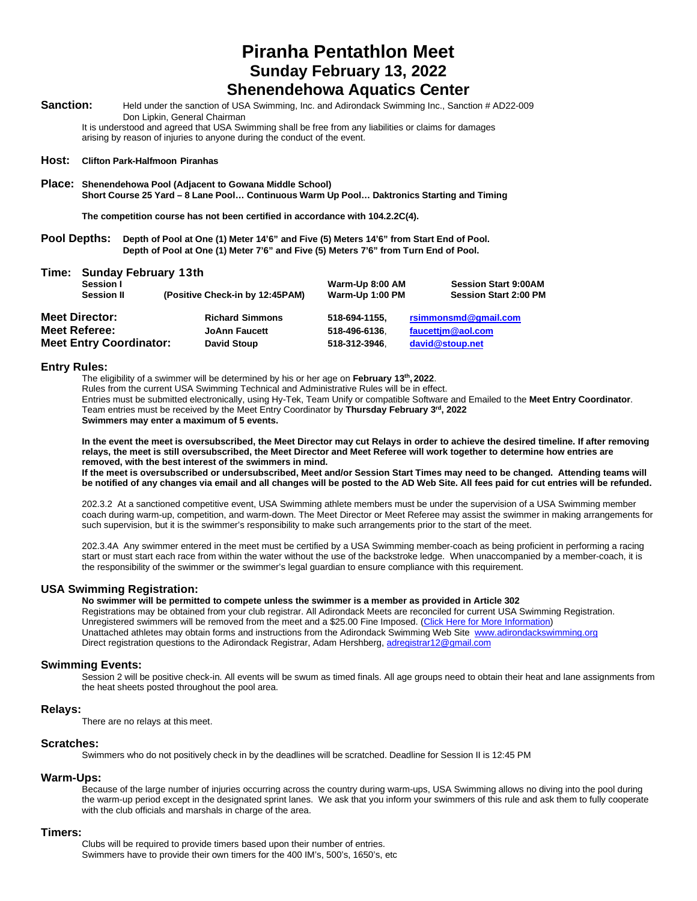## **Piranha Pentathlon Meet Sunday February 13, 2022**

## **Shenendehowa Aquatics Center**

Sanction: Held under the sanction of USA Swimming, Inc. and Adirondack Swimming Inc., Sanction # AD22-009 Don Lipkin, General Chairman

It is understood and agreed that USA Swimming shall be free from any liabilities or claims for damages arising by reason of injuries to anyone during the conduct of the event.

#### **Host: Clifton Park-Halfmoon Piranhas**

**Place: Shenendehowa Pool (Adjacent to Gowana Middle School) Short Course 25 Yard – 8 Lane Pool… Continuous Warm Up Pool… Daktronics Starting and Timing**

**The competition course has not been certified in accordance with 104.2.2C(4).**

**Pool Depths: Depth of Pool at One (1) Meter 14'6" and Five (5) Meters 14'6" from Start End of Pool. Depth of Pool at One (1) Meter 7'6" and Five (5) Meters 7'6" from Turn End of Pool.**

| Time: | <b>Sunday February 13th</b>    |                                 |                 |                              |  |  |  |  |
|-------|--------------------------------|---------------------------------|-----------------|------------------------------|--|--|--|--|
|       | Session I                      |                                 | Warm-Up 8:00 AM | <b>Session Start 9:00AM</b>  |  |  |  |  |
|       | <b>Session II</b>              | (Positive Check-in by 12:45PAM) | Warm-Up 1:00 PM | <b>Session Start 2:00 PM</b> |  |  |  |  |
|       | <b>Meet Director:</b>          | <b>Richard Simmons</b>          | 518-694-1155.   | rsimmonsmd@qmail.com         |  |  |  |  |
|       | <b>Meet Referee:</b>           | <b>JoAnn Faucett</b>            | 518-496-6136.   | faucettim@aol.com            |  |  |  |  |
|       | <b>Meet Entry Coordinator:</b> | <b>David Stoup</b>              | 518-312-3946.   | david@stoup.net              |  |  |  |  |

#### **Entry Rules:**

The eligibility of a swimmer will be determined by his or her age on **February 13th, 2022**. Rules from the current USA Swimming Technical and Administrative Rules will be in effect.

Entries must be submitted electronically, using Hy-Tek, Team Unify or compatible Software and Emailed to the **Meet Entry Coordinator**. Team entries must be received by the Meet Entry Coordinator by **Thursday February 3rd, 2022 Swimmers may enter a maximum of 5 events.**

**In the event the meet is oversubscribed, the Meet Director may cut Relays in order to achieve the desired timeline. If after removing relays, the meet is still oversubscribed, the Meet Director and Meet Referee will work together to determine how entries are removed, with the best interest of the swimmers in mind.**

**If the meet is oversubscribed or undersubscribed, Meet and/or Session Start Times may need to be changed. Attending teams will be notified of any changes via email and all changes will be posted to the AD Web Site. All fees paid for cut entries will be refunded.**

202.3.2 At a sanctioned competitive event, USA Swimming athlete members must be under the supervision of a USA Swimming member coach during warm-up, competition, and warm-down. The Meet Director or Meet Referee may assist the swimmer in making arrangements for such supervision, but it is the swimmer's responsibility to make such arrangements prior to the start of the meet.

202.3.4A Any swimmer entered in the meet must be certified by a USA Swimming member-coach as being proficient in performing a racing start or must start each race from within the water without the use of the backstroke ledge. When unaccompanied by a member-coach, it is the responsibility of the swimmer or the swimmer's legal guardian to ensure compliance with this requirement.

#### **USA Swimming Registration:**

**No swimmer will be permitted to compete unless the swimmer is a member as provided in Article 302** Registrations may be obtained from your club registrar. All Adirondack Meets are reconciled for current USA Swimming Registration. Unregistered swimmers will be removed from the meet and a \$25.00 Fine Imposed. (Click Here for More Information) Unattached athletes may obtain forms and instructions from the Adirondack Swimming Web Site [www.adirondackswimming.org](http://www.adirondackswimming.org/) Direct registration questions to the Adirondack Registrar, Adam Hershberg[, adregistrar12@gmail.com](mailto:adregistrar12@gmail.com)

#### **Swimming Events:**

Session 2 will be positive check-in. All events will be swum as timed finals. All age groups need to obtain their heat and lane assignments from the heat sheets posted throughout the pool area.

#### **Relays:**

There are no relays at this meet.

#### **Scratches:**

Swimmers who do not positively check in by the deadlines will be scratched. Deadline for Session II is 12:45 PM

#### **Warm-Ups:**

Because of the large number of injuries occurring across the country during warm-ups, USA Swimming allows no diving into the pool during the warm-up period except in the designated sprint lanes. We ask that you inform your swimmers of this rule and ask them to fully cooperate with the club officials and marshals in charge of the area.

#### **Timers:**

Clubs will be required to provide timers based upon their number of entries. Swimmers have to provide their own timers for the 400 IM's, 500's, 1650's, etc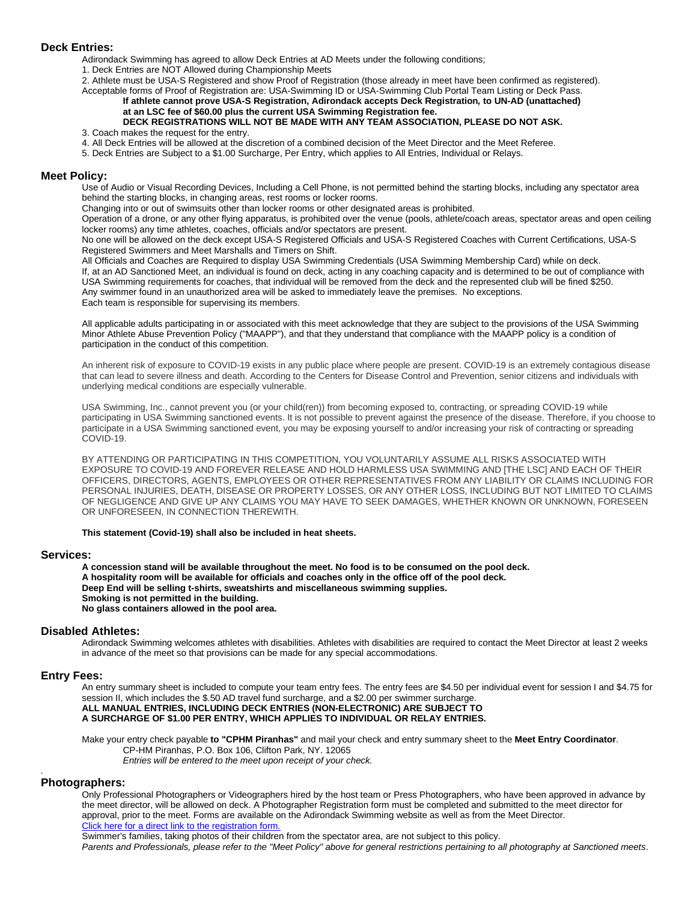#### **Deck Entries:**

Adirondack Swimming has agreed to allow Deck Entries at AD Meets under the following conditions;

1. Deck Entries are NOT Allowed during Championship Meets

2. Athlete must be USA-S Registered and show Proof of Registration (those already in meet have been confirmed as registered). Acceptable forms of Proof of Registration are: USA-Swimming ID or USA-Swimming Club Portal Team Listing or Deck Pass.

#### **If athlete cannot prove USA-S Registration, Adirondack accepts Deck Registration***,* **to UN-AD (unattached) at an LSC fee of \$60.00 plus the current USA Swimming Registration fee.**

#### **DECK REGISTRATIONS WILL NOT BE MADE WITH ANY TEAM ASSOCIATION, PLEASE DO NOT ASK.** 3. Coach makes the request for the entry.

- 4. All Deck Entries will be allowed at the discretion of a combined decision of the Meet Director and the Meet Referee.
- 5. Deck Entries are Subject to a \$1.00 Surcharge, Per Entry, which applies to All Entries, Individual or Relays.

#### **Meet Policy:**

Use of Audio or Visual Recording Devices, Including a Cell Phone, is not permitted behind the starting blocks, including any spectator area behind the starting blocks, in changing areas, rest rooms or locker rooms.

Changing into or out of swimsuits other than locker rooms or other designated areas is prohibited.

Operation of a drone, or any other flying apparatus, is prohibited over the venue (pools, athlete/coach areas, spectator areas and open ceiling locker rooms) any time athletes, coaches, officials and/or spectators are present.

No one will be allowed on the deck except USA-S Registered Officials and USA-S Registered Coaches with Current Certifications, USA-S Registered Swimmers and Meet Marshalls and Timers on Shift.

All Officials and Coaches are Required to display USA Swimming Credentials (USA Swimming Membership Card) while on deck. If, at an AD Sanctioned Meet, an individual is found on deck, acting in any coaching capacity and is determined to be out of compliance with USA Swimming requirements for coaches, that individual will be removed from the deck and the represented club will be fined \$250. Any swimmer found in an unauthorized area will be asked to immediately leave the premises. No exceptions. Each team is responsible for supervising its members.

All applicable adults participating in or associated with this meet acknowledge that they are subject to the provisions of the USA Swimming Minor Athlete Abuse Prevention Policy ("MAAPP"), and that they understand that compliance with the MAAPP policy is a condition of participation in the conduct of this competition.

An inherent risk of exposure to COVID-19 exists in any public place where people are present. COVID-19 is an extremely contagious disease that can lead to severe illness and death. According to the Centers for Disease Control and Prevention, senior citizens and individuals with underlying medical conditions are especially vulnerable.

USA Swimming, Inc., cannot prevent you (or your child(ren)) from becoming exposed to, contracting, or spreading COVID-19 while participating in USA Swimming sanctioned events. It is not possible to prevent against the presence of the disease. Therefore, if you choose to participate in a USA Swimming sanctioned event, you may be exposing yourself to and/or increasing your risk of contracting or spreading COVID-19.

BY ATTENDING OR PARTICIPATING IN THIS COMPETITION, YOU VOLUNTARILY ASSUME ALL RISKS ASSOCIATED WITH EXPOSURE TO COVID-19 AND FOREVER RELEASE AND HOLD HARMLESS USA SWIMMING AND [THE LSC] AND EACH OF THEIR OFFICERS, DIRECTORS, AGENTS, EMPLOYEES OR OTHER REPRESENTATIVES FROM ANY LIABILITY OR CLAIMS INCLUDING FOR PERSONAL INJURIES, DEATH, DISEASE OR PROPERTY LOSSES, OR ANY OTHER LOSS, INCLUDING BUT NOT LIMITED TO CLAIMS OF NEGLIGENCE AND GIVE UP ANY CLAIMS YOU MAY HAVE TO SEEK DAMAGES, WHETHER KNOWN OR UNKNOWN, FORESEEN OR UNFORESEEN, IN CONNECTION THEREWITH.

#### **This statement (Covid-19) shall also be included in heat sheets.**

#### **Services:**

**A concession stand will be available throughout the meet. No food is to be consumed on the pool deck. A hospitality room will be available for officials and coaches only in the office off of the pool deck. Deep End will be selling t-shirts, sweatshirts and miscellaneous swimming supplies. Smoking is not permitted in the building. No glass containers allowed in the pool area.**

#### **Disabled Athletes:**

Adirondack Swimming welcomes athletes with disabilities. Athletes with disabilities are required to contact the Meet Director at least 2 weeks in advance of the meet so that provisions can be made for any special accommodations.

#### **Entry Fees:**

An entry summary sheet is included to compute your team entry fees. The entry fees are \$4.50 per individual event for session I and \$4.75 for session II, which includes the \$.50 AD travel fund surcharge, and a \$2.00 per swimmer surcharge. **ALL MANUAL ENTRIES, INCLUDING DECK ENTRIES (NON-ELECTRONIC) ARE SUBJECT TO A SURCHARGE OF \$1.00 PER ENTRY, WHICH APPLIES TO INDIVIDUAL OR RELAY ENTRIES.**

Make your entry check payable **to "CPHM Piranhas"** and mail your check and entry summary sheet to the **Meet Entry Coordinator**. CP-HM Piranhas, P.O. Box 106, Clifton Park, NY. 12065 *Entries will be entered to the meet upon receipt of your check.*

#### **Photographers:**

*.*

Only Professional Photographers or Videographers hired by the host team or Press Photographers, who have been approved in advance by the meet director, will be allowed on deck. A Photographer Registration form must be completed and submitted to the meet director for approval, prior to the meet. Forms are available on the Adirondack Swimming website as well as from the Meet Director. Click here for a direct link to the registration form. Swimmer's families, taking photos of their children from the spectator area, are not subject to this policy.

*Parents and Professionals, please refer to the "Meet Policy" above for general restrictions pertaining to all photography at Sanctioned meets*.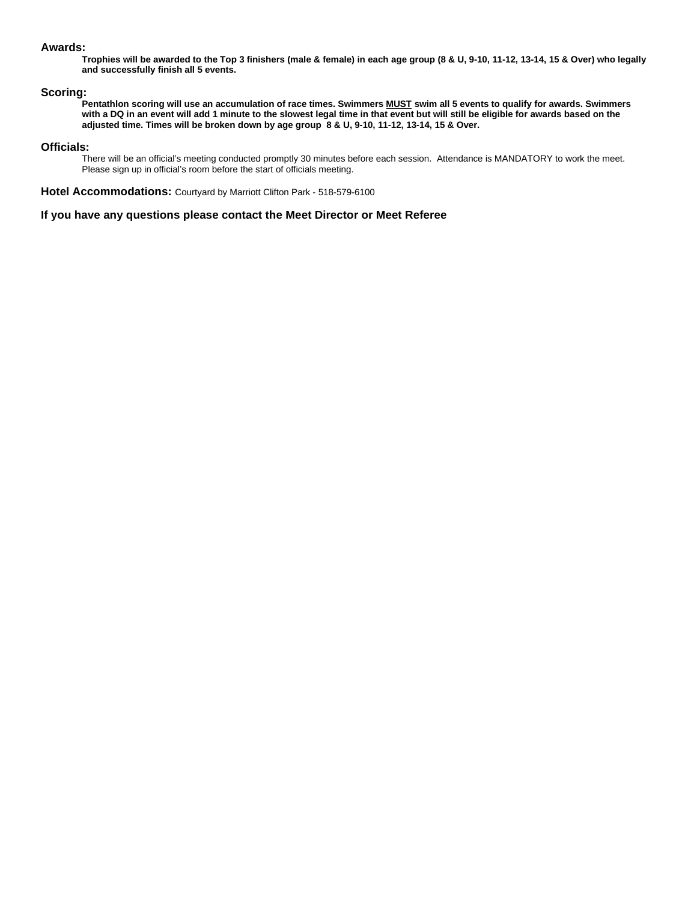#### **Awards:**

**Trophies will be awarded to the Top 3 finishers (male & female) in each age group (8 & U, 9-10, 11-12, 13-14, 15 & Over) who legally and successfully finish all 5 events.**

#### **Scoring:**

**Pentathlon scoring will use an accumulation of race times. Swimmers MUST swim all 5 events to qualify for awards. Swimmers with a DQ in an event will add 1 minute to the slowest legal time in that event but will still be eligible for awards based on the adjusted time. Times will be broken down by age group 8 & U, 9-10, 11-12, 13-14, 15 & Over.**

#### **Officials:**

There will be an official's meeting conducted promptly 30 minutes before each session. Attendance is MANDATORY to work the meet. Please sign up in official's room before the start of officials meeting.

**Hotel Accommodations:** Courtyard by Marriott Clifton Park - 518-579-6100

**If you have any questions please contact the Meet Director or Meet Referee**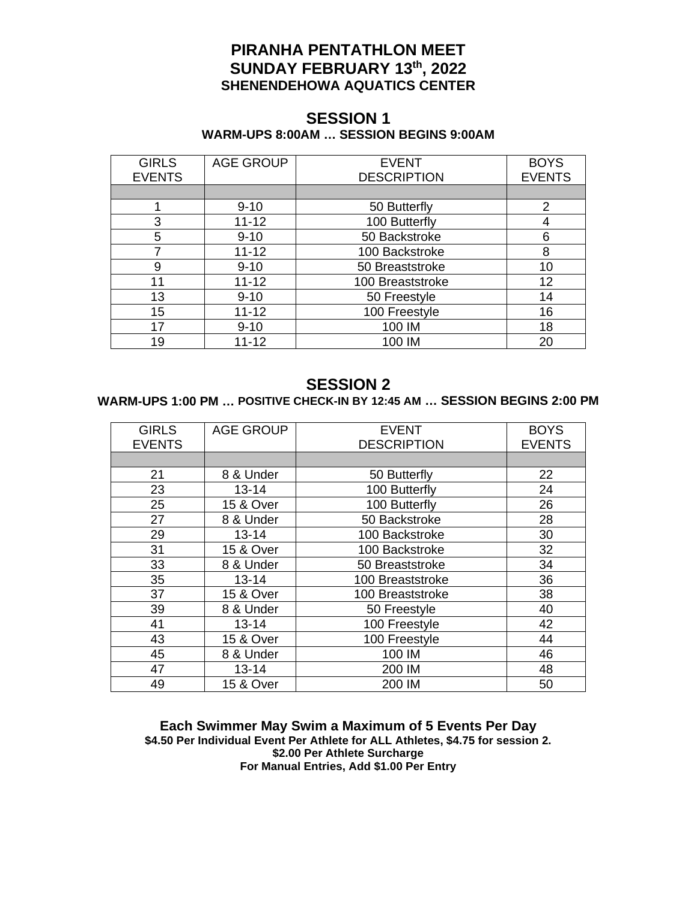## **PIRANHA PENTATHLON MEET SUNDAY FEBRUARY 13th, 2022 SHENENDEHOWA AQUATICS CENTER**

### **SESSION 1 WARM-UPS 8:00AM … SESSION BEGINS 9:00AM**

| <b>GIRLS</b><br><b>EVENTS</b> | <b>AGE GROUP</b> | <b>EVENT</b><br><b>DESCRIPTION</b> | <b>BOYS</b><br><b>EVENTS</b> |
|-------------------------------|------------------|------------------------------------|------------------------------|
|                               |                  |                                    |                              |
|                               | $9 - 10$         | 50 Butterfly                       | 2                            |
| 3                             | $11 - 12$        | 100 Butterfly                      | 4                            |
| 5                             | $9 - 10$         | 50 Backstroke                      | 6                            |
|                               | $11 - 12$        | 100 Backstroke                     | 8                            |
| 9                             | $9 - 10$         | 50 Breaststroke                    | 10                           |
| 11                            | $11 - 12$        | 100 Breaststroke                   | 12                           |
| 13                            | $9 - 10$         | 50 Freestyle                       | 14                           |
| 15                            | $11 - 12$        | 100 Freestyle                      | 16                           |
| 17                            | $9 - 10$         | 100 IM                             | 18                           |
| 19                            | $11 - 12$        | 100 IM                             | 20                           |

## **SESSION 2**

### **WARM-UPS 1:00 PM … POSITIVE CHECK-IN BY 12:45 AM … SESSION BEGINS 2:00 PM**

| <b>GIRLS</b><br><b>EVENTS</b> | <b>AGE GROUP</b>     | <b>EVENT</b><br><b>DESCRIPTION</b> | <b>BOYS</b><br><b>EVENTS</b> |
|-------------------------------|----------------------|------------------------------------|------------------------------|
|                               |                      |                                    |                              |
| 21                            | 8 & Under            | 50 Butterfly                       | 22                           |
| 23                            | $13 - 14$            | 100 Butterfly                      | 24                           |
| 25                            | 15 & Over            | 100 Butterfly                      | 26                           |
| 27                            | 8 & Under            | 50 Backstroke                      | 28                           |
| 29                            | $13 - 14$            | 100 Backstroke                     | 30                           |
| 31                            | <b>15 &amp; Over</b> | 100 Backstroke                     | 32                           |
| 33                            | 8 & Under            | 50 Breaststroke                    | 34                           |
| 35                            | $13 - 14$            | 100 Breaststroke                   | 36                           |
| 37                            | 15 & Over            | 100 Breaststroke                   | 38                           |
| 39                            | 8 & Under            | 50 Freestyle                       | 40                           |
| 41                            | $13 - 14$            | 100 Freestyle                      | 42                           |
| 43                            | 15 & Over            | 100 Freestyle                      | 44                           |
| 45                            | 8 & Under            | 100 IM                             | 46                           |
| 47                            | $13 - 14$            | 200 IM                             | 48                           |
| 49                            | <b>15 &amp; Over</b> | 200 IM                             | 50                           |

**Each Swimmer May Swim a Maximum of 5 Events Per Day \$4.50 Per Individual Event Per Athlete for ALL Athletes, \$4.75 for session 2. \$2.00 Per Athlete Surcharge For Manual Entries, Add \$1.00 Per Entry**